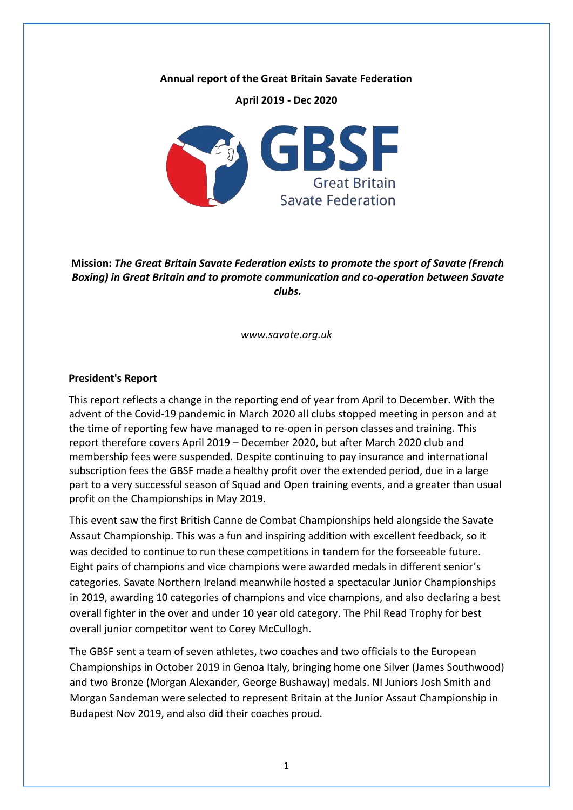#### **Annual report of the Great Britain Savate Federation**

**April 2019 - Dec 2020**



**Mission:** *The Great Britain Savate Federation exists to promote the sport of Savate (French Boxing) in Great Britain and to promote communication and co-operation between Savate clubs.* 

*www.savate.org.uk* 

#### **President's Report**

This report reflects a change in the reporting end of year from April to December. With the advent of the Covid-19 pandemic in March 2020 all clubs stopped meeting in person and at the time of reporting few have managed to re-open in person classes and training. This report therefore covers April 2019 – December 2020, but after March 2020 club and membership fees were suspended. Despite continuing to pay insurance and international subscription fees the GBSF made a healthy profit over the extended period, due in a large part to a very successful season of Squad and Open training events, and a greater than usual profit on the Championships in May 2019.

This event saw the first British Canne de Combat Championships held alongside the Savate Assaut Championship. This was a fun and inspiring addition with excellent feedback, so it was decided to continue to run these competitions in tandem for the forseeable future. Eight pairs of champions and vice champions were awarded medals in different senior's categories. Savate Northern Ireland meanwhile hosted a spectacular Junior Championships in 2019, awarding 10 categories of champions and vice champions, and also declaring a best overall fighter in the over and under 10 year old category. The Phil Read Trophy for best overall junior competitor went to Corey McCullogh.

The GBSF sent a team of seven athletes, two coaches and two officials to the European Championships in October 2019 in Genoa Italy, bringing home one Silver (James Southwood) and two Bronze (Morgan Alexander, George Bushaway) medals. NI Juniors Josh Smith and Morgan Sandeman were selected to represent Britain at the Junior Assaut Championship in Budapest Nov 2019, and also did their coaches proud.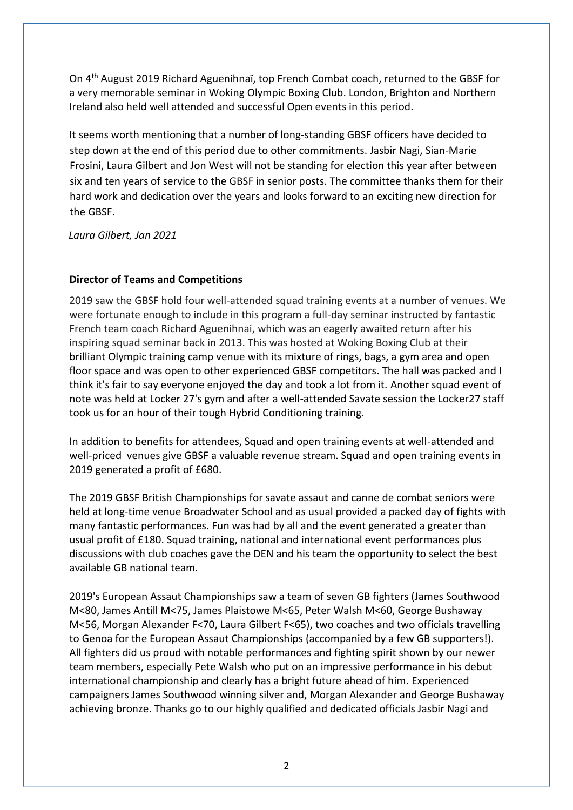On 4th August 2019 Richard Aguenihnaï, top French Combat coach, returned to the GBSF for a very memorable seminar in Woking Olympic Boxing Club. London, Brighton and Northern Ireland also held well attended and successful Open events in this period.

It seems worth mentioning that a number of long-standing GBSF officers have decided to step down at the end of this period due to other commitments. Jasbir Nagi, Sian-Marie Frosini, Laura Gilbert and Jon West will not be standing for election this year after between six and ten years of service to the GBSF in senior posts. The committee thanks them for their hard work and dedication over the years and looks forward to an exciting new direction for the GBSF.

*Laura Gilbert, Jan 2021*

## **Director of Teams and Competitions**

2019 saw the GBSF hold four well-attended squad training events at a number of venues. We were fortunate enough to include in this program a full-day seminar instructed by fantastic French team coach Richard Aguenihnai, which was an eagerly awaited return after his inspiring squad seminar back in 2013. This was hosted at Woking Boxing Club at their brilliant Olympic training camp venue with its mixture of rings, bags, a gym area and open floor space and was open to other experienced GBSF competitors. The hall was packed and I think it's fair to say everyone enjoyed the day and took a lot from it. Another squad event of note was held at Locker 27's gym and after a well-attended Savate session the Locker27 staff took us for an hour of their tough Hybrid Conditioning training.

In addition to benefits for attendees, Squad and open training events at well-attended and well-priced venues give GBSF a valuable revenue stream. Squad and open training events in 2019 generated a profit of £680.

The 2019 GBSF British Championships for savate assaut and canne de combat seniors were held at long-time venue Broadwater School and as usual provided a packed day of fights with many fantastic performances. Fun was had by all and the event generated a greater than usual profit of £180. Squad training, national and international event performances plus discussions with club coaches gave the DEN and his team the opportunity to select the best available GB national team.

2019's European Assaut Championships saw a team of seven GB fighters (James Southwood M<80, James Antill M<75, James Plaistowe M<65, Peter Walsh M<60, George Bushaway M<56, Morgan Alexander F<70, Laura Gilbert F<65), two coaches and two officials travelling to Genoa for the European Assaut Championships (accompanied by a few GB supporters!). All fighters did us proud with notable performances and fighting spirit shown by our newer team members, especially Pete Walsh who put on an impressive performance in his debut international championship and clearly has a bright future ahead of him. Experienced campaigners James Southwood winning silver and, Morgan Alexander and George Bushaway achieving bronze. Thanks go to our highly qualified and dedicated officials Jasbir Nagi and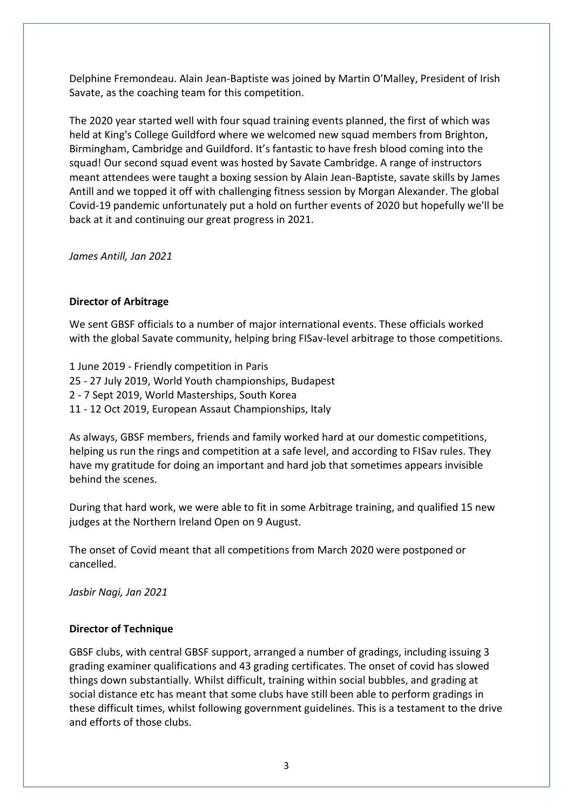Delphine Fremondeau. Alain Jean-Baptiste was joined by Martin O'Malley, President of Irish Savate, as the coaching team for this competition.

The 2020 year started well with four squad training events planned, the first of which was held at King's College Guildford where we welcomed new squad members from Brighton, Birmingham, Cambridge and Guildford. It's fantastic to have fresh blood coming into the squad! Our second squad event was hosted by Savate Cambridge. A range of instructors meant attendees were taught a boxing session by Alain Jean-Baptiste, savate skills by James Antill and we topped it off with challenging fitness session by Morgan Alexander. The global Covid-19 pandemic unfortunately put a hold on further events of 2020 but hopefully we'll be back at it and continuing our great progress in 2021.

*James Antill, Jan 2021*

### **Director of Arbitrage**

We sent GBSF officials to a number of major international events. These officials worked with the global Savate community, helping bring FISav-level arbitrage to those competitions.

1 June 2019 - Friendly competition in Paris 25 - 27 July 2019, World Youth championships, Budapest 2 - 7 Sept 2019, World Masterships, South Korea 11 - 12 Oct 2019, European Assaut Championships, Italy

As always, GBSF members, friends and family worked hard at our domestic competitions, helping us run the rings and competition at a safe level, and according to FISav rules. They have my gratitude for doing an important and hard job that sometimes appears invisible behind the scenes.

During that hard work, we were able to fit in some Arbitrage training, and qualified 15 new judges at the Northern Ireland Open on 9 August.

The onset of Covid meant that all competitions from March 2020 were postponed or cancelled.

*Jasbir Nagi, Jan 2021*

### **Director of Technique**

GBSF clubs, with central GBSF support, arranged a number of gradings, including issuing 3 grading examiner qualifications and 43 grading certificates. The onset of covid has slowed things down substantially. Whilst difficult, training within social bubbles, and grading at social distance etc has meant that some clubs have still been able to perform gradings in these difficult times, whilst following government guidelines. This is a testament to the drive and efforts of those clubs.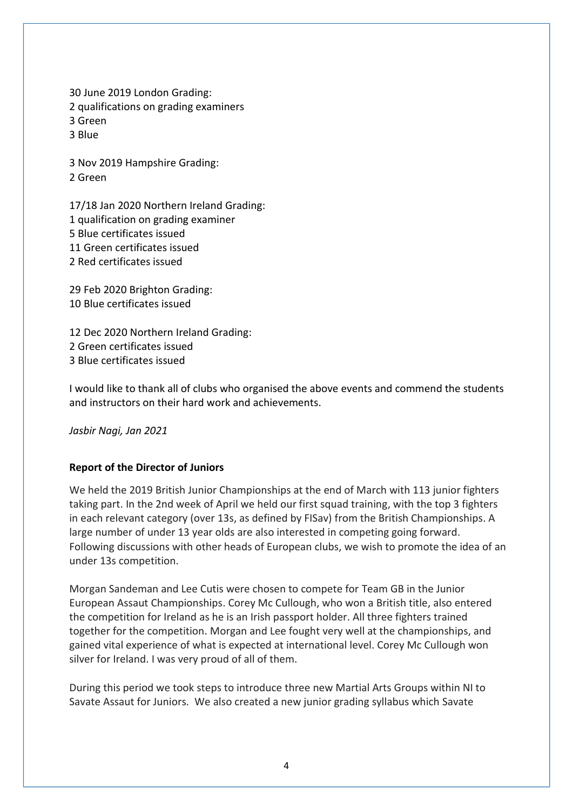30 June 2019 London Grading: 2 qualifications on grading examiners 3 Green 3 Blue

3 Nov 2019 Hampshire Grading: 2 Green

17/18 Jan 2020 Northern Ireland Grading: 1 qualification on grading examiner 5 Blue certificates issued 11 Green certificates issued 2 Red certificates issued

29 Feb 2020 Brighton Grading: 10 Blue certificates issued

12 Dec 2020 Northern Ireland Grading: 2 Green certificates issued 3 Blue certificates issued

I would like to thank all of clubs who organised the above events and commend the students and instructors on their hard work and achievements.

*Jasbir Nagi, Jan 2021*

## **Report of the Director of Juniors**

We held the 2019 British Junior Championships at the end of March with 113 junior fighters taking part. In the 2nd week of April we held our first squad training, with the top 3 fighters in each relevant category (over 13s, as defined by FISav) from the British Championships. A large number of under 13 year olds are also interested in competing going forward. Following discussions with other heads of European clubs, we wish to promote the idea of an under 13s competition.

Morgan Sandeman and Lee Cutis were chosen to compete for Team GB in the Junior European Assaut Championships. Corey Mc Cullough, who won a British title, also entered the competition for Ireland as he is an Irish passport holder. All three fighters trained together for the competition. Morgan and Lee fought very well at the championships, and gained vital experience of what is expected at international level. Corey Mc Cullough won silver for Ireland. I was very proud of all of them.

During this period we took steps to introduce three new Martial Arts Groups within NI to Savate Assaut for Juniors. We also created a new junior grading syllabus which Savate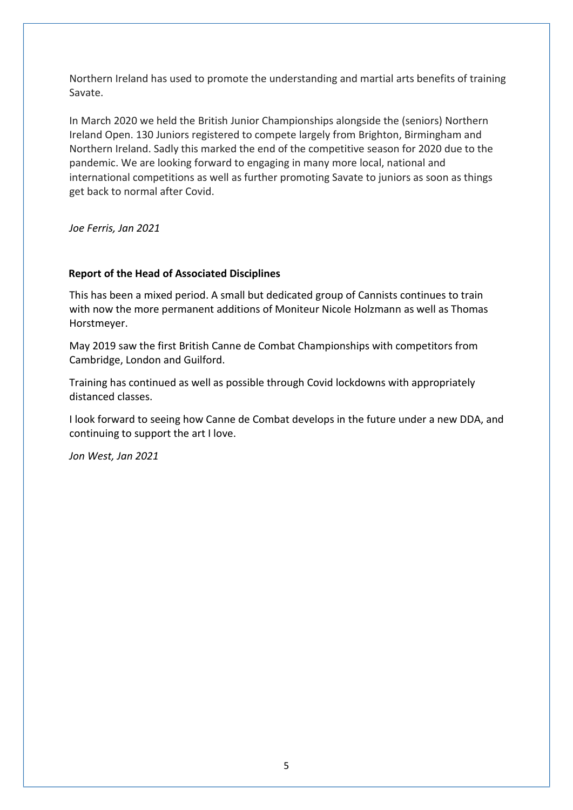Northern Ireland has used to promote the understanding and martial arts benefits of training Savate.

In March 2020 we held the British Junior Championships alongside the (seniors) Northern Ireland Open. 130 Juniors registered to compete largely from Brighton, Birmingham and Northern Ireland. Sadly this marked the end of the competitive season for 2020 due to the pandemic. We are looking forward to engaging in many more local, national and international competitions as well as further promoting Savate to juniors as soon as things get back to normal after Covid.

*Joe Ferris, Jan 2021*

## **Report of the Head of Associated Disciplines**

This has been a mixed period. A small but dedicated group of Cannists continues to train with now the more permanent additions of Moniteur Nicole Holzmann as well as Thomas Horstmeyer.

May 2019 saw the first British Canne de Combat Championships with competitors from Cambridge, London and Guilford.

Training has continued as well as possible through Covid lockdowns with appropriately distanced classes.

I look forward to seeing how Canne de Combat develops in the future under a new DDA, and continuing to support the art I love.

*Jon West, Jan 2021*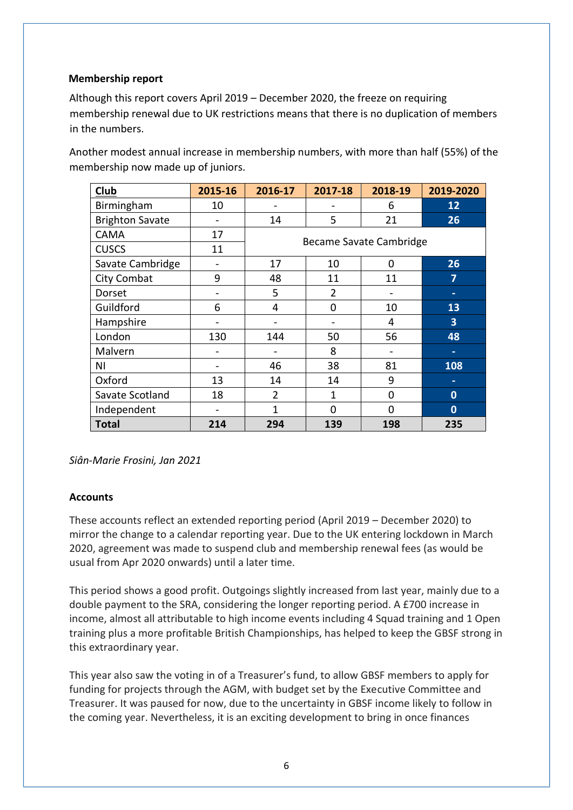### **Membership report**

Although this report covers April 2019 – December 2020, the freeze on requiring membership renewal due to UK restrictions means that there is no duplication of members in the numbers.

Another modest annual increase in membership numbers, with more than half (55%) of the membership now made up of juniors.

| <b>Club</b>            | 2015-16 | 2016-17                 | 2017-18        | 2018-19  | 2019-2020      |
|------------------------|---------|-------------------------|----------------|----------|----------------|
| Birmingham             | 10      |                         |                | 6        | 12             |
| <b>Brighton Savate</b> |         | 14                      | 5              | 21       | 26             |
| <b>CAMA</b>            | 17      | Became Savate Cambridge |                |          |                |
| <b>CUSCS</b>           | 11      |                         |                |          |                |
| Savate Cambridge       |         | 17                      | 10             | 0        | 26             |
| City Combat            | 9       | 48                      | 11             | 11       | 7              |
| Dorset                 |         | 5                       | $\overline{2}$ |          |                |
| Guildford              | 6       | 4                       | 0              | 10       | 13             |
| Hampshire              |         |                         |                | 4        | $\overline{3}$ |
| London                 | 130     | 144                     | 50             | 56       | 48             |
| Malvern                |         |                         | 8              |          |                |
| ΝI                     |         | 46                      | 38             | 81       | 108            |
| Oxford                 | 13      | 14                      | 14             | 9        |                |
| Savate Scotland        | 18      | $\overline{2}$          | 1              | 0        | $\mathbf 0$    |
| Independent            |         | 1                       | $\Omega$       | $\Omega$ | $\mathbf 0$    |
| <b>Total</b>           | 214     | 294                     | 139            | 198      | 235            |

*Siân-Marie Frosini, Jan 2021*

### **Accounts**

These accounts reflect an extended reporting period (April 2019 – December 2020) to mirror the change to a calendar reporting year. Due to the UK entering lockdown in March 2020, agreement was made to suspend club and membership renewal fees (as would be usual from Apr 2020 onwards) until a later time.

This period shows a good profit. Outgoings slightly increased from last year, mainly due to a double payment to the SRA, considering the longer reporting period. A £700 increase in income, almost all attributable to high income events including 4 Squad training and 1 Open training plus a more profitable British Championships, has helped to keep the GBSF strong in this extraordinary year.

This year also saw the voting in of a Treasurer's fund, to allow GBSF members to apply for funding for projects through the AGM, with budget set by the Executive Committee and Treasurer. It was paused for now, due to the uncertainty in GBSF income likely to follow in the coming year. Nevertheless, it is an exciting development to bring in once finances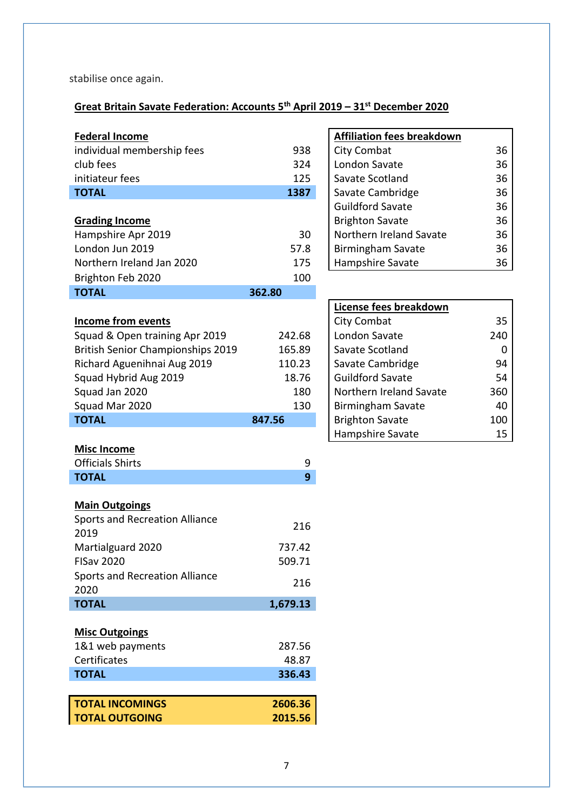stabilise once again.

# **Great Britain Savate Federation: Accounts 5th April 2019 – 31st December 2020**

| <b>Federal Income</b>                    |        | <b>Affiliation fees breakdown</b> |     |
|------------------------------------------|--------|-----------------------------------|-----|
| individual membership fees               | 938    | City Combat                       | 36  |
| club fees                                | 324    | London Savate                     | 36  |
| initiateur fees                          | 125    | Savate Scotland                   | 36  |
| <b>TOTAL</b>                             | 1387   | Savate Cambridge                  | 36  |
|                                          |        | <b>Guildford Savate</b>           | 36  |
| <b>Grading Income</b>                    |        | <b>Brighton Savate</b>            | 36  |
| Hampshire Apr 2019                       | 30     | Northern Ireland Savate           | 36  |
| London Jun 2019                          | 57.8   | <b>Birmingham Savate</b>          | 36  |
| Northern Ireland Jan 2020                | 175    | Hampshire Savate                  | 36  |
| Brighton Feb 2020                        | 100    |                                   |     |
| <b>TOTAL</b>                             | 362.80 |                                   |     |
|                                          |        | License fees breakdown            |     |
| <b>Income from events</b>                |        | City Combat                       | 35  |
| Squad & Open training Apr 2019           | 242.68 | London Savate                     | 240 |
| <b>British Senior Championships 2019</b> | 165.89 | Savate Scotland                   | 0   |
| Richard Aguenihnai Aug 2019              | 110.23 | Savate Cambridge                  | 94  |
| Squad Hybrid Aug 2019                    | 18.76  | <b>Guildford Savate</b>           | 54  |
| Squad Jan 2020                           | 180    | Northern Ireland Savate           | 360 |
| Squad Mar 2020                           | 130    | <b>Birmingham Savate</b>          | 40  |
| <b>TOTAL</b>                             | 847.56 | <b>Brighton Savate</b>            | 100 |
|                                          |        | Hampshire Savate                  | 15  |
| <b>Misc Income</b>                       |        |                                   |     |
| <b>Officials Shirts</b>                  | 9      |                                   |     |

|                    |   | Ha |
|--------------------|---|----|
| <b>Misc Income</b> |   |    |
| Officials Shirts   | Q |    |

| <b>UILY COILINUL</b>     |    |
|--------------------------|----|
| London Savate            | 36 |
| Savate Scotland          | 36 |
| Savate Cambridge         | 36 |
| <b>Guildford Savate</b>  | 36 |
| <b>Brighton Savate</b>   | 36 |
| Northern Ireland Savate  | 36 |
| <b>Birmingham Savate</b> | 36 |
| Hampshire Savate         | 36 |
|                          |    |

| License fees breakdown  |     |
|-------------------------|-----|
| City Combat             | 35  |
| London Savate           | 240 |
| Savate Scotland         | ŋ   |
| Savate Cambridge        | 94  |
| <b>Guildford Savate</b> | 54  |
| Northern Ireland Savate | 360 |
| Birmingham Savate       | 40  |
| <b>Brighton Savate</b>  | 100 |
| Hampshire Savate        | 15  |

## **Main Outgoings**

| <b>Main Outgoings</b>                         |                  |
|-----------------------------------------------|------------------|
| <b>Sports and Recreation Alliance</b><br>2019 | 216              |
| Martialguard 2020<br><b>FISav 2020</b>        | 737.42<br>509.71 |
| <b>Sports and Recreation Alliance</b><br>2020 | 216              |
| <b>TOTAL</b>                                  | 1,679.13         |
| <b>Misc Outgoings</b><br>1&1 web payments     | 287.56           |
| Certificates<br><b>TOTAL</b>                  | 48.87<br>336.43  |
|                                               |                  |
| <b>TOTAL INCOMINGS</b>                        | 2606.36          |
|                                               |                  |

**TOTAL 9**